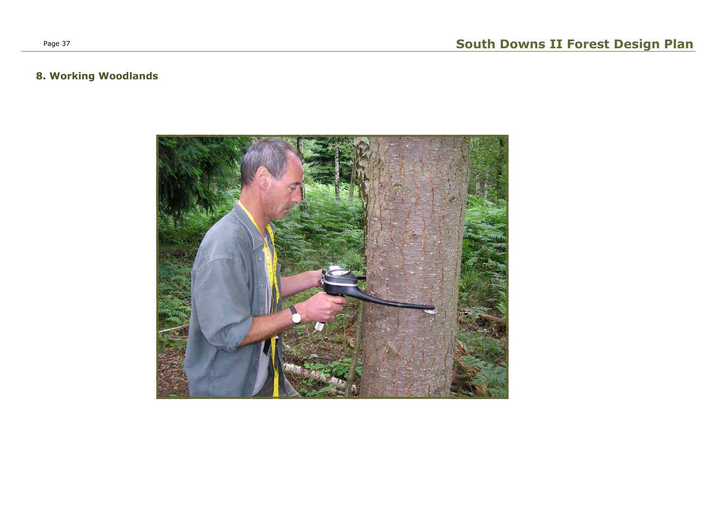

# 8. Working Woodlands

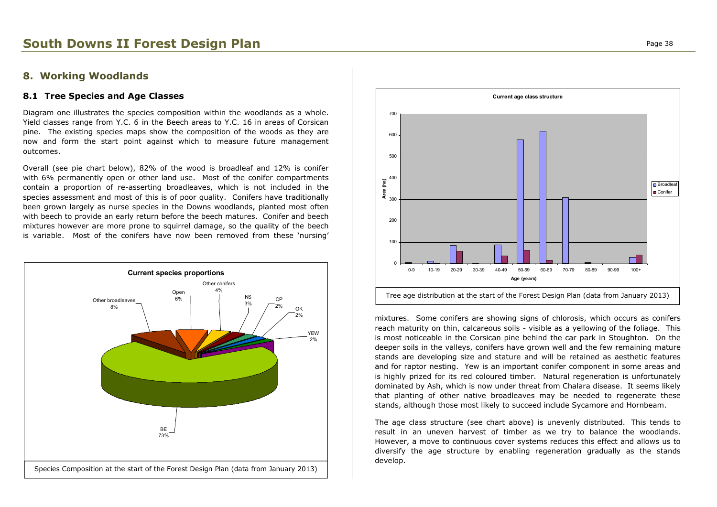# South Downs II Forest Design Plan **Page 18 and 20 and 20 and 20 and 20 and 20 and 20 and 20 and 20 and 20 and 20 and 20 and 20 and 20 and 20 and 20 and 20 and 20 and 20 and 20 and 20 and 20 and 20 and 20 and 20 and 20 and**

## 8. Working Woodlands

### 8.1 Tree Species and Age Classes

Diagram one illustrates the species composition within the woodlands as a whole. Yield classes range from Y.C. 6 in the Beech areas to Y.C. 16 in areas of Corsican pine. The existing species maps show the composition of the woods as they are now and form the start point against which to measure future management outcomes.

Overall (see pie chart below), 82% of the wood is broadleaf and 12% is conifer with 6% permanently open or other land use. Most of the conifer compartments contain a proportion of re-asserting broadleaves, which is not included in the species assessment and most of this is of poor quality. Conifers have traditionally been grown largely as nurse species in the Downs woodlands, planted most often with beech to provide an early return before the beech matures. Conifer and beech mixtures however are more prone to squirrel damage, so the quality of the beech is variable. Most of the conifers have now been removed from these 'nursing'

> mixtures. Some conifers are showing signs of chlorosis, which occurs as conifers reach maturity on thin, calcareous soils - visible as a yellowing of the foliage. This is most noticeable in the Corsican pine behind the car park in Stoughton. On the deeper soils in the valleys, conifers have grown well and the few remaining mature stands are developing size and stature and will be retained as aesthetic features and for raptor nesting. Yew is an important conifer component in some areas and is highly prized for its red coloured timber. Natural regeneration is unfortunately dominated by Ash, which is now under threat from Chalara disease. It seems likely that planting of other native broadleaves may be needed to regenerate these stands, although those most likely to succeed include Sycamore and Hornbeam.





The age class structure (see chart above) is unevenly distributed. This tends to result in an uneven harvest of timber as we try to balance the woodlands. However, a move to continuous cover systems reduces this effect and allows us to diversify the age structure by enabling regeneration gradually as the stands develop.